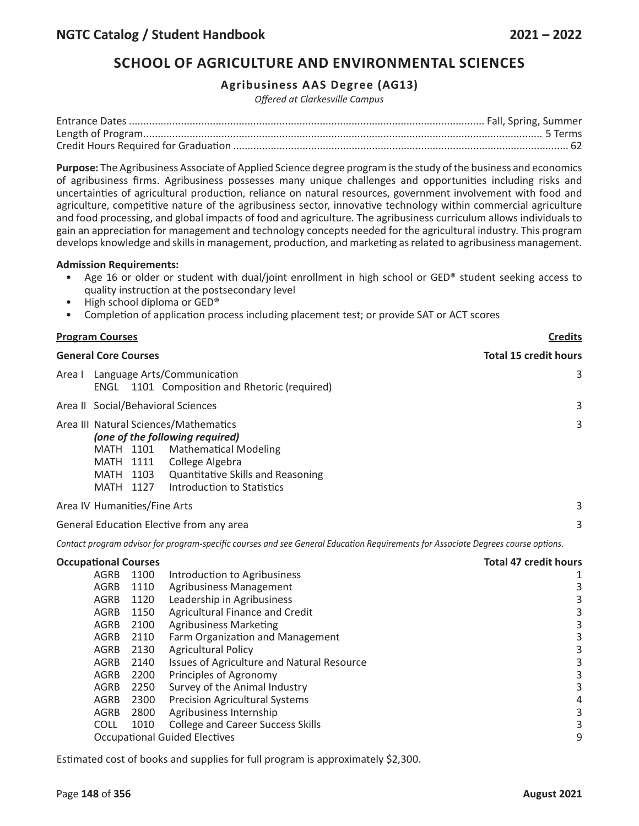# **SCHOOL OF AGRICULTURE AND ENVIRONMENTAL SCIENCES**

## **Agribusiness AAS Degree (AG13)**

*Offered at Clarkesville Campus*

**Purpose:** The Agribusiness Associate of Applied Science degree program is the study of the business and economics of agribusiness firms. Agribusiness possesses many unique challenges and opportunities including risks and uncertainties of agricultural production, reliance on natural resources, government involvement with food and agriculture, competitive nature of the agribusiness sector, innovative technology within commercial agriculture and food processing, and global impacts of food and agriculture. The agribusiness curriculum allows individuals to gain an appreciation for management and technology concepts needed for the agricultural industry. This program develops knowledge and skills in management, production, and marketing as related to agribusiness management.

## **Admission Requirements:**

- Age 16 or older or student with dual/joint enrollment in high school or GED® student seeking access to quality instruction at the postsecondary level
- High school diploma or GED®
- Completion of application process including placement test; or provide SAT or ACT scores

|                             | <b>Program Courses</b>                                                       |                              |                                                                                                                                                                                                       | <b>Credits</b>               |
|-----------------------------|------------------------------------------------------------------------------|------------------------------|-------------------------------------------------------------------------------------------------------------------------------------------------------------------------------------------------------|------------------------------|
| <b>General Core Courses</b> |                                                                              |                              |                                                                                                                                                                                                       | <b>Total 15 credit hours</b> |
| Area I                      | Language Arts/Communication<br>ENGL 1101 Composition and Rhetoric (required) | 3                            |                                                                                                                                                                                                       |                              |
|                             |                                                                              |                              | Area II Social/Behavioral Sciences                                                                                                                                                                    | 3                            |
|                             | MATH 1101<br>MATH 1111<br>MATH 1127                                          | MATH 1103                    | Area III Natural Sciences/Mathematics<br>(one of the following required)<br><b>Mathematical Modeling</b><br>College Algebra<br><b>Quantitative Skills and Reasoning</b><br>Introduction to Statistics | 3                            |
|                             |                                                                              | Area IV Humanities/Fine Arts |                                                                                                                                                                                                       | 3                            |
|                             |                                                                              |                              | General Education Elective from any area                                                                                                                                                              | 3                            |
|                             |                                                                              |                              | Contact program advisor for program-specific courses and see General Education Requirements for Associate Degrees course options.                                                                     |                              |
|                             | <b>Occupational Courses</b>                                                  |                              |                                                                                                                                                                                                       | <b>Total 47 credit hours</b> |
|                             | AGRB                                                                         | 1100                         | Introduction to Agribusiness                                                                                                                                                                          | 1                            |
|                             | <b>AGRB</b>                                                                  | 1110                         | <b>Agribusiness Management</b>                                                                                                                                                                        | $\mathbf{3}$                 |
|                             | <b>AGRB</b>                                                                  | 1120                         | Leadership in Agribusiness                                                                                                                                                                            | $\mathsf 3$                  |
|                             | <b>AGRB</b>                                                                  | 1150                         | Agricultural Finance and Credit                                                                                                                                                                       | $\frac{3}{3}$                |
|                             | <b>AGRB</b>                                                                  | 2100                         | <b>Agribusiness Marketing</b>                                                                                                                                                                         |                              |
|                             | AGRB                                                                         | 2110                         | Farm Organization and Management                                                                                                                                                                      | 3                            |
|                             | AGRB                                                                         | 2130                         | <b>Agricultural Policy</b>                                                                                                                                                                            | $\mathsf 3$                  |
|                             | AGRB                                                                         | 2140                         | Issues of Agriculture and Natural Resource                                                                                                                                                            | $\overline{3}$               |
|                             | <b>AGRB</b>                                                                  | 2200                         | Principles of Agronomy                                                                                                                                                                                | 3                            |
|                             | AGRB                                                                         | 2250                         | Survey of the Animal Industry                                                                                                                                                                         | 3                            |
|                             | AGRB                                                                         | 2300                         | <b>Precision Agricultural Systems</b>                                                                                                                                                                 | $\sqrt{4}$                   |
|                             | <b>AGRB</b>                                                                  | 2800                         | Agribusiness Internship                                                                                                                                                                               | $\mathsf{3}$                 |
|                             | <b>COLL</b>                                                                  | 1010                         | <b>College and Career Success Skills</b>                                                                                                                                                              | $\overline{\mathbf{3}}$<br>9 |
|                             | <b>Occupational Guided Electives</b>                                         |                              |                                                                                                                                                                                                       |                              |

Estimated cost of books and supplies for full program is approximately \$2,300.